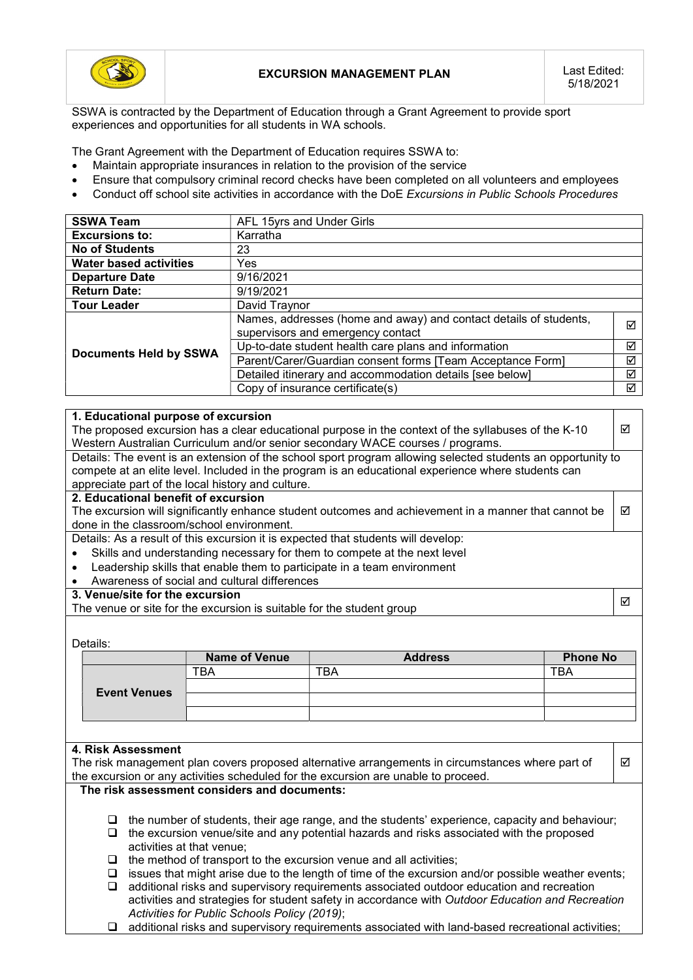

SSWA is contracted by the Department of Education through a Grant Agreement to provide sport experiences and opportunities for all students in WA schools.

The Grant Agreement with the Department of Education requires SSWA to:

- Maintain appropriate insurances in relation to the provision of the service
- Ensure that compulsory criminal record checks have been completed on all volunteers and employees
- Conduct off school site activities in accordance with the DoE Excursions in Public Schools Procedures

| <b>SSWA Team</b>              | AFL 15yrs and Under Girls                                                                              |   |  |
|-------------------------------|--------------------------------------------------------------------------------------------------------|---|--|
| <b>Excursions to:</b>         | Karratha                                                                                               |   |  |
| <b>No of Students</b>         | 23                                                                                                     |   |  |
| <b>Water based activities</b> | Yes                                                                                                    |   |  |
| <b>Departure Date</b>         | 9/16/2021                                                                                              |   |  |
| <b>Return Date:</b>           | 9/19/2021                                                                                              |   |  |
| <b>Tour Leader</b>            | David Traynor                                                                                          |   |  |
|                               | Names, addresses (home and away) and contact details of students,<br>supervisors and emergency contact | ⊠ |  |
|                               | Up-to-date student health care plans and information                                                   |   |  |
| <b>Documents Held by SSWA</b> | Parent/Carer/Guardian consent forms [Team Acceptance Form]                                             |   |  |
|                               | Detailed itinerary and accommodation details [see below]                                               |   |  |
|                               | Copy of insurance certificate(s)                                                                       | ☑ |  |

## 1. Educational purpose of excursion

The proposed excursion has a clear educational purpose in the context of the syllabuses of the K-10 Western Australian Curriculum and/or senior secondary WACE courses / programs.

Details: The event is an extension of the school sport program allowing selected students an opportunity to compete at an elite level. Included in the program is an educational experience where students can appreciate part of the local history and culture.

## 2. Educational benefit of excursion

The excursion will significantly enhance student outcomes and achievement in a manner that cannot be done in the classroom/school environment.  $\triangledown$ 

Details: As a result of this excursion it is expected that students will develop:

- Skills and understanding necessary for them to compete at the next level
- Leadership skills that enable them to participate in a team environment
- Awareness of social and cultural differences

## 3. Venue/site for the excursion

3. Venue site for the excursion<br>The venue or site for the excursion is suitable for the student group

 $\overline{M}$ 

 $\overline{M}$ 

Details:

|                     | <b>Name of Venue</b> | <b>Address</b> | <b>Phone No</b> |
|---------------------|----------------------|----------------|-----------------|
| <b>Event Venues</b> | ΓBΑ                  | ™ВА            | ™ВА             |
|                     |                      |                |                 |
|                     |                      |                |                 |
|                     |                      |                |                 |

## 4. Risk Assessment

The risk management plan covers proposed alternative arrangements in circumstances where part of the excursion or any activities scheduled for the excursion are unable to proceed.

## The risk assessment considers and documents:

- $\Box$  the number of students, their age range, and the students' experience, capacity and behaviour;
- $\Box$  the excursion venue/site and any potential hazards and risks associated with the proposed activities at that venue;
- $\Box$  the method of transport to the excursion venue and all activities;
- $\Box$  issues that might arise due to the length of time of the excursion and/or possible weather events;
- additional risks and supervisory requirements associated outdoor education and recreation activities and strategies for student safety in accordance with Outdoor Education and Recreation Activities for Public Schools Policy (2019);
- additional risks and supervisory requirements associated with land-based recreational activities;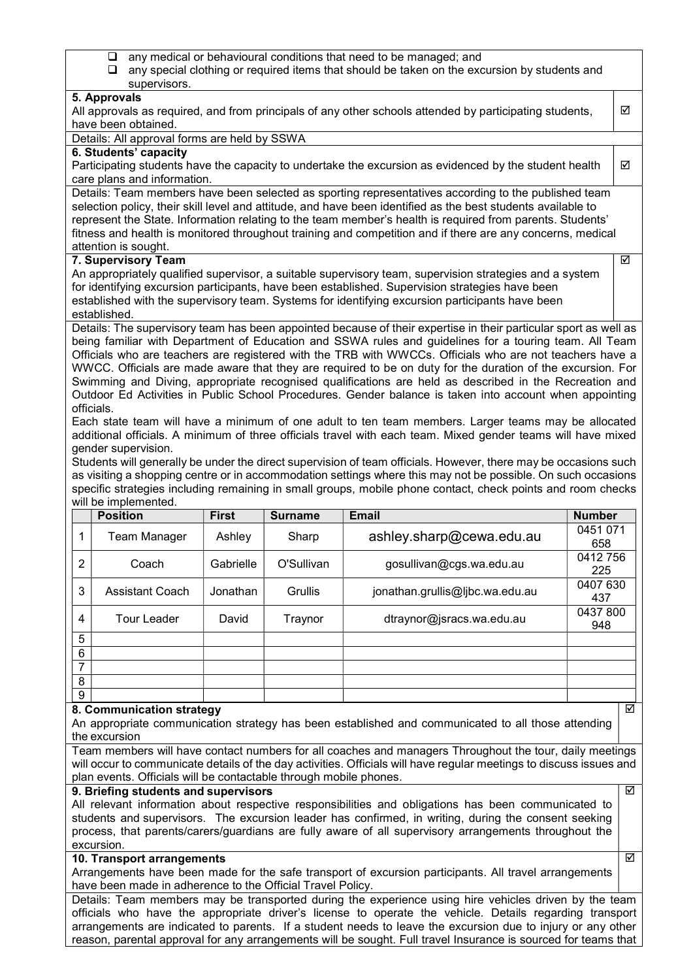- $\Box$  any medical or behavioural conditions that need to be managed; and
- $\Box$  any special clothing or required items that should be taken on the excursion by students and supervisors.

## $\overline{5}$ . Approvals

| <b>J. ADDIUVAIS</b>                                                                                          |   |  |  |  |
|--------------------------------------------------------------------------------------------------------------|---|--|--|--|
| All approvals as required, and from principals of any other schools attended by participating students,      |   |  |  |  |
| have been obtained.                                                                                          |   |  |  |  |
| Details: All approval forms are held by SSWA                                                                 |   |  |  |  |
| 6. Students' capacity                                                                                        |   |  |  |  |
| Participating students have the capacity to undertake the excursion as evidenced by the student health       | ☑ |  |  |  |
| care plans and information.                                                                                  |   |  |  |  |
| Details: Team members have been selected as sporting representatives according to the published team         |   |  |  |  |
| selection policy, their skill level and attitude, and have been identified as the best students available to |   |  |  |  |
| represent the State. Information relating to the team member's health is required from parents. Students'    |   |  |  |  |
| fitness and health is monitored throughout training and competition and if there are any concerns, medical   |   |  |  |  |
|                                                                                                              |   |  |  |  |

☑

ज्ञ

 $\overline{\mathbf{S}}$ 

#### attention is sought. 7. Supervisory Team

An appropriately qualified supervisor, a suitable supervisory team, supervision strategies and a system for identifying excursion participants, have been established. Supervision strategies have been established with the supervisory team. Systems for identifying excursion participants have been established.

Details: The supervisory team has been appointed because of their expertise in their particular sport as well as being familiar with Department of Education and SSWA rules and guidelines for a touring team. All Team Officials who are teachers are registered with the TRB with WWCCs. Officials who are not teachers have a WWCC. Officials are made aware that they are required to be on duty for the duration of the excursion. For Swimming and Diving, appropriate recognised qualifications are held as described in the Recreation and Outdoor Ed Activities in Public School Procedures. Gender balance is taken into account when appointing officials.

Each state team will have a minimum of one adult to ten team members. Larger teams may be allocated additional officials. A minimum of three officials travel with each team. Mixed gender teams will have mixed gender supervision.

Students will generally be under the direct supervision of team officials. However, there may be occasions such as visiting a shopping centre or in accommodation settings where this may not be possible. On such occasions specific strategies including remaining in small groups, mobile phone contact, check points and room checks will be implemented.

|   | <b>Position</b>        | <b>First</b> | <b>Surname</b> | <b>Email</b>                    | <b>Number</b>   |
|---|------------------------|--------------|----------------|---------------------------------|-----------------|
| 1 | Team Manager           | Ashley       | Sharp          | ashley.sharp@cewa.edu.au        | 0451 071<br>658 |
| 2 | Coach                  | Gabrielle    | O'Sullivan     | gosullivan@cgs.wa.edu.au        | 0412756<br>225  |
| 3 | <b>Assistant Coach</b> | Jonathan     | Grullis        | jonathan.grullis@ljbc.wa.edu.au | 0407 630<br>437 |
| 4 | <b>Tour Leader</b>     | David        | Traynor        | dtraynor@jsracs.wa.edu.au       | 0437 800<br>948 |
| 5 |                        |              |                |                                 |                 |
| 6 |                        |              |                |                                 |                 |
| 7 |                        |              |                |                                 |                 |
| 8 |                        |              |                |                                 |                 |
| 9 |                        |              |                |                                 |                 |

## 8. Communication strategy

An appropriate communication strategy has been established and communicated to all those attending the excursion

Team members will have contact numbers for all coaches and managers Throughout the tour, daily meetings will occur to communicate details of the day activities. Officials will have regular meetings to discuss issues and plan events. Officials will be contactable through mobile phones.  $\overline{\mathbf{M}}$ 

## 9. Briefing students and supervisors

All relevant information about respective responsibilities and obligations has been communicated to students and supervisors. The excursion leader has confirmed, in writing, during the consent seeking process, that parents/carers/guardians are fully aware of all supervisory arrangements throughout the excursion.

## 10. Transport arrangements

Arrangements have been made for the safe transport of excursion participants. All travel arrangements have been made in adherence to the Official Travel Policy.

Details: Team members may be transported during the experience using hire vehicles driven by the team officials who have the appropriate driver's license to operate the vehicle. Details regarding transport arrangements are indicated to parents. If a student needs to leave the excursion due to injury or any other reason, parental approval for any arrangements will be sought. Full travel Insurance is sourced for teams that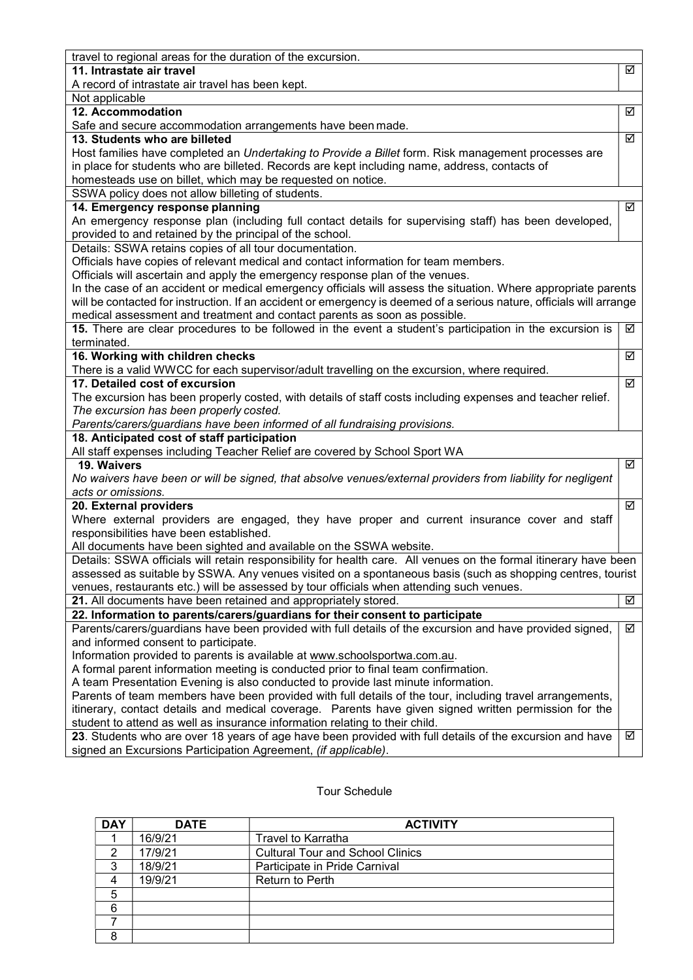| travel to regional areas for the duration of the excursion.                                                               |   |  |  |  |
|---------------------------------------------------------------------------------------------------------------------------|---|--|--|--|
| 11. Intrastate air travel                                                                                                 | ☑ |  |  |  |
| A record of intrastate air travel has been kept.                                                                          |   |  |  |  |
| Not applicable                                                                                                            |   |  |  |  |
| 12. Accommodation                                                                                                         |   |  |  |  |
| Safe and secure accommodation arrangements have been made.                                                                |   |  |  |  |
| 13. Students who are billeted                                                                                             | ☑ |  |  |  |
| Host families have completed an Undertaking to Provide a Billet form. Risk management processes are                       |   |  |  |  |
| in place for students who are billeted. Records are kept including name, address, contacts of                             |   |  |  |  |
| homesteads use on billet, which may be requested on notice.                                                               |   |  |  |  |
| SSWA policy does not allow billeting of students.                                                                         |   |  |  |  |
| 14. Emergency response planning                                                                                           | ☑ |  |  |  |
| An emergency response plan (including full contact details for supervising staff) has been developed,                     |   |  |  |  |
| provided to and retained by the principal of the school.                                                                  |   |  |  |  |
| Details: SSWA retains copies of all tour documentation.                                                                   |   |  |  |  |
| Officials have copies of relevant medical and contact information for team members.                                       |   |  |  |  |
| Officials will ascertain and apply the emergency response plan of the venues.                                             |   |  |  |  |
| In the case of an accident or medical emergency officials will assess the situation. Where appropriate parents            |   |  |  |  |
| will be contacted for instruction. If an accident or emergency is deemed of a serious nature, officials will arrange      |   |  |  |  |
| medical assessment and treatment and contact parents as soon as possible.                                                 |   |  |  |  |
| 15. There are clear procedures to be followed in the event a student's participation in the excursion is                  | ☑ |  |  |  |
| terminated.                                                                                                               |   |  |  |  |
| 16. Working with children checks                                                                                          | ☑ |  |  |  |
| There is a valid WWCC for each supervisor/adult travelling on the excursion, where required.                              |   |  |  |  |
| 17. Detailed cost of excursion                                                                                            | ☑ |  |  |  |
| The excursion has been properly costed, with details of staff costs including expenses and teacher relief.                |   |  |  |  |
| The excursion has been properly costed.                                                                                   |   |  |  |  |
| Parents/carers/guardians have been informed of all fundraising provisions.<br>18. Anticipated cost of staff participation |   |  |  |  |
| All staff expenses including Teacher Relief are covered by School Sport WA                                                |   |  |  |  |
| 19. Waivers                                                                                                               | ☑ |  |  |  |
| No waivers have been or will be signed, that absolve venues/external providers from liability for negligent               |   |  |  |  |
| acts or omissions.                                                                                                        |   |  |  |  |
| 20. External providers                                                                                                    | ☑ |  |  |  |
| Where external providers are engaged, they have proper and current insurance cover and staff                              |   |  |  |  |
| responsibilities have been established.                                                                                   |   |  |  |  |
| All documents have been sighted and available on the SSWA website.                                                        |   |  |  |  |
| Details: SSWA officials will retain responsibility for health care. All venues on the formal itinerary have been          |   |  |  |  |
| assessed as suitable by SSWA. Any venues visited on a spontaneous basis (such as shopping centres, tourist                |   |  |  |  |
| venues, restaurants etc.) will be assessed by tour officials when attending such venues.                                  |   |  |  |  |
| 21. All documents have been retained and appropriately stored.                                                            | ☑ |  |  |  |
| 22. Information to parents/carers/guardians for their consent to participate                                              |   |  |  |  |
| Parents/carers/guardians have been provided with full details of the excursion and have provided signed,                  | ☑ |  |  |  |
| and informed consent to participate.                                                                                      |   |  |  |  |
| Information provided to parents is available at www.schoolsportwa.com.au.                                                 |   |  |  |  |
| A formal parent information meeting is conducted prior to final team confirmation.                                        |   |  |  |  |
| A team Presentation Evening is also conducted to provide last minute information.                                         |   |  |  |  |
| Parents of team members have been provided with full details of the tour, including travel arrangements,                  |   |  |  |  |
| itinerary, contact details and medical coverage. Parents have given signed written permission for the                     |   |  |  |  |
| student to attend as well as insurance information relating to their child.                                               |   |  |  |  |
| 23. Students who are over 18 years of age have been provided with full details of the excursion and have                  | ☑ |  |  |  |
| signed an Excursions Participation Agreement, (if applicable).                                                            |   |  |  |  |
|                                                                                                                           |   |  |  |  |

## Tour Schedule

| <b>DAY</b> | <b>DATE</b> | <b>ACTIVITY</b>                         |  |
|------------|-------------|-----------------------------------------|--|
|            | 16/9/21     | <b>Travel to Karratha</b>               |  |
|            | 17/9/21     | <b>Cultural Tour and School Clinics</b> |  |
| 3          | 18/9/21     | Participate in Pride Carnival           |  |
| 4          | 19/9/21     | <b>Return to Perth</b>                  |  |
| 5          |             |                                         |  |
| 6          |             |                                         |  |
|            |             |                                         |  |
| 8          |             |                                         |  |